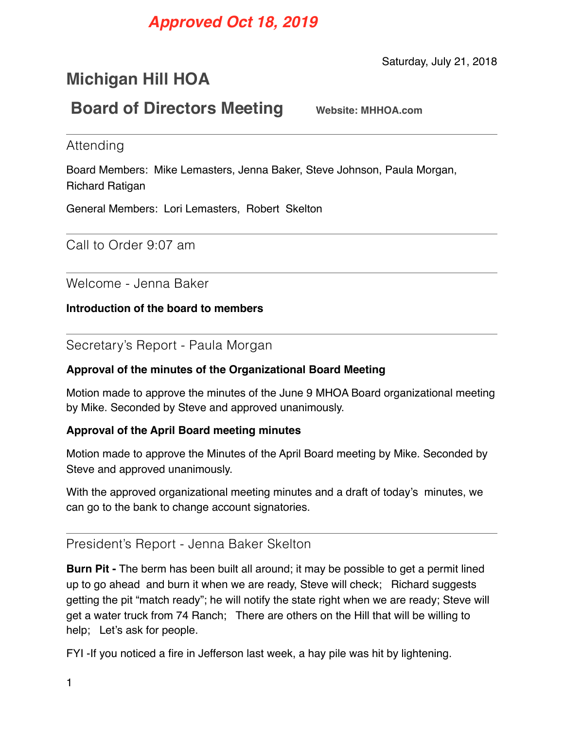# *Approved Oct 18, 2019*

Saturday, July 21, 2018

# **Michigan Hill HOA**

## **Board of Directors Meeting** Website: MHHOA.com

Attending

Board Members: Mike Lemasters, Jenna Baker, Steve Johnson, Paula Morgan, Richard Ratigan

General Members: Lori Lemasters, Robert Skelton

Call to Order 9:07 am

Welcome - Jenna Baker

**Introduction of the board to members** 

Secretary's Report - Paula Morgan

#### **Approval of the minutes of the Organizational Board Meeting**

Motion made to approve the minutes of the June 9 MHOA Board organizational meeting by Mike. Seconded by Steve and approved unanimously.

#### **Approval of the April Board meeting minutes**

Motion made to approve the Minutes of the April Board meeting by Mike. Seconded by Steve and approved unanimously.

With the approved organizational meeting minutes and a draft of today's minutes, we can go to the bank to change account signatories.

### President's Report - Jenna Baker Skelton

**Burn Pit -** The berm has been built all around; it may be possible to get a permit lined up to go ahead and burn it when we are ready, Steve will check; Richard suggests getting the pit "match ready"; he will notify the state right when we are ready; Steve will get a water truck from 74 Ranch; There are others on the Hill that will be willing to help; Let's ask for people.

FYI -If you noticed a fire in Jefferson last week, a hay pile was hit by lightening.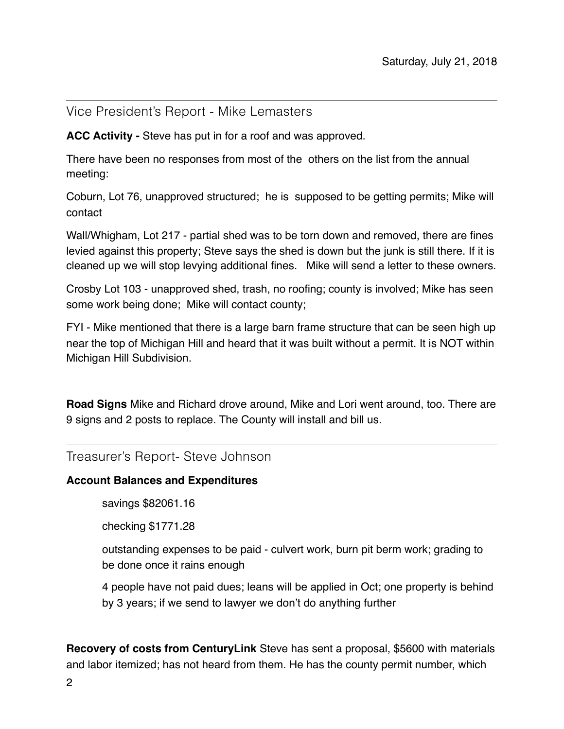### Vice President's Report - Mike Lemasters

**ACC Activity -** Steve has put in for a roof and was approved.

There have been no responses from most of the others on the list from the annual meeting:

Coburn, Lot 76, unapproved structured; he is supposed to be getting permits; Mike will contact

Wall/Whigham, Lot 217 - partial shed was to be torn down and removed, there are fines levied against this property; Steve says the shed is down but the junk is still there. If it is cleaned up we will stop levying additional fines. Mike will send a letter to these owners.

Crosby Lot 103 - unapproved shed, trash, no roofing; county is involved; Mike has seen some work being done; Mike will contact county;

FYI - Mike mentioned that there is a large barn frame structure that can be seen high up near the top of Michigan Hill and heard that it was built without a permit. It is NOT within Michigan Hill Subdivision.

**Road Signs** Mike and Richard drove around, Mike and Lori went around, too. There are 9 signs and 2 posts to replace. The County will install and bill us.

Treasurer's Report- Steve Johnson

#### **Account Balances and Expenditures**

savings \$82061.16

checking \$1771.28

outstanding expenses to be paid - culvert work, burn pit berm work; grading to be done once it rains enough

4 people have not paid dues; leans will be applied in Oct; one property is behind by 3 years; if we send to lawyer we don't do anything further

**Recovery of costs from CenturyLink** Steve has sent a proposal, \$5600 with materials and labor itemized; has not heard from them. He has the county permit number, which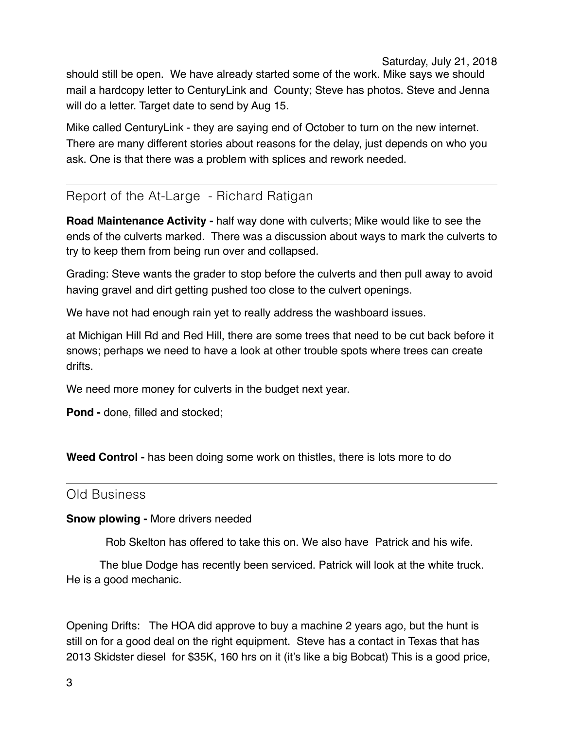Saturday, July 21, 2018

should still be open. We have already started some of the work. Mike says we should mail a hardcopy letter to CenturyLink and County; Steve has photos. Steve and Jenna will do a letter. Target date to send by Aug 15.

Mike called CenturyLink - they are saying end of October to turn on the new internet. There are many different stories about reasons for the delay, just depends on who you ask. One is that there was a problem with splices and rework needed.

## Report of the At-Large - Richard Ratigan

**Road Maintenance Activity -** half way done with culverts; Mike would like to see the ends of the culverts marked. There was a discussion about ways to mark the culverts to try to keep them from being run over and collapsed.

Grading: Steve wants the grader to stop before the culverts and then pull away to avoid having gravel and dirt getting pushed too close to the culvert openings.

We have not had enough rain yet to really address the washboard issues.

at Michigan Hill Rd and Red Hill, there are some trees that need to be cut back before it snows; perhaps we need to have a look at other trouble spots where trees can create drifts.

We need more money for culverts in the budget next year.

**Pond -** done, filled and stocked;

**Weed Control -** has been doing some work on thistles, there is lots more to do

#### Old Business

#### **Snow plowing -** More drivers needed

Rob Skelton has offered to take this on. We also have Patrick and his wife.

The blue Dodge has recently been serviced. Patrick will look at the white truck. He is a good mechanic.

Opening Drifts: The HOA did approve to buy a machine 2 years ago, but the hunt is still on for a good deal on the right equipment. Steve has a contact in Texas that has 2013 Skidster diesel for \$35K, 160 hrs on it (it's like a big Bobcat) This is a good price,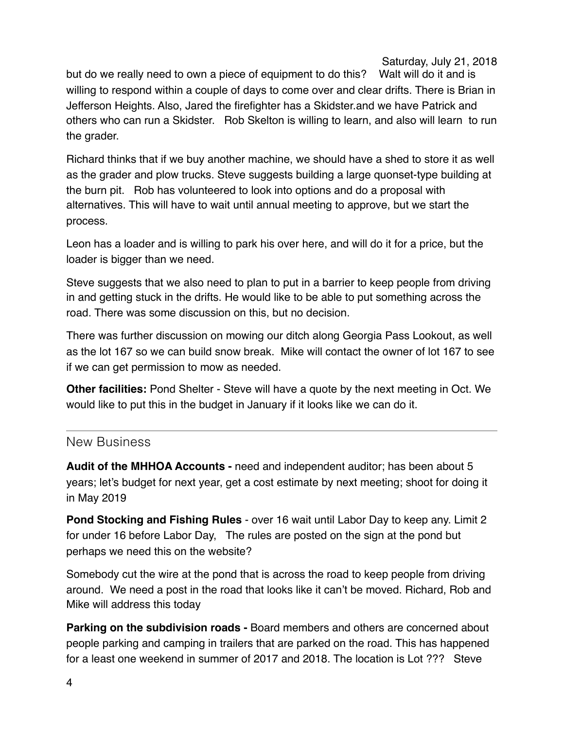Saturday, July 21, 2018

but do we really need to own a piece of equipment to do this? Walt will do it and is willing to respond within a couple of days to come over and clear drifts. There is Brian in Jefferson Heights. Also, Jared the firefighter has a Skidster.and we have Patrick and others who can run a Skidster. Rob Skelton is willing to learn, and also will learn to run the grader.

Richard thinks that if we buy another machine, we should have a shed to store it as well as the grader and plow trucks. Steve suggests building a large quonset-type building at the burn pit. Rob has volunteered to look into options and do a proposal with alternatives. This will have to wait until annual meeting to approve, but we start the process.

Leon has a loader and is willing to park his over here, and will do it for a price, but the loader is bigger than we need.

Steve suggests that we also need to plan to put in a barrier to keep people from driving in and getting stuck in the drifts. He would like to be able to put something across the road. There was some discussion on this, but no decision.

There was further discussion on mowing our ditch along Georgia Pass Lookout, as well as the lot 167 so we can build snow break. Mike will contact the owner of lot 167 to see if we can get permission to mow as needed.

**Other facilities:** Pond Shelter - Steve will have a quote by the next meeting in Oct. We would like to put this in the budget in January if it looks like we can do it.

## New Business

**Audit of the MHHOA Accounts -** need and independent auditor; has been about 5 years; let's budget for next year, get a cost estimate by next meeting; shoot for doing it in May 2019

**Pond Stocking and Fishing Rules** - over 16 wait until Labor Day to keep any. Limit 2 for under 16 before Labor Day, The rules are posted on the sign at the pond but perhaps we need this on the website?

Somebody cut the wire at the pond that is across the road to keep people from driving around. We need a post in the road that looks like it can't be moved. Richard, Rob and Mike will address this today

**Parking on the subdivision roads -** Board members and others are concerned about people parking and camping in trailers that are parked on the road. This has happened for a least one weekend in summer of 2017 and 2018. The location is Lot ??? Steve